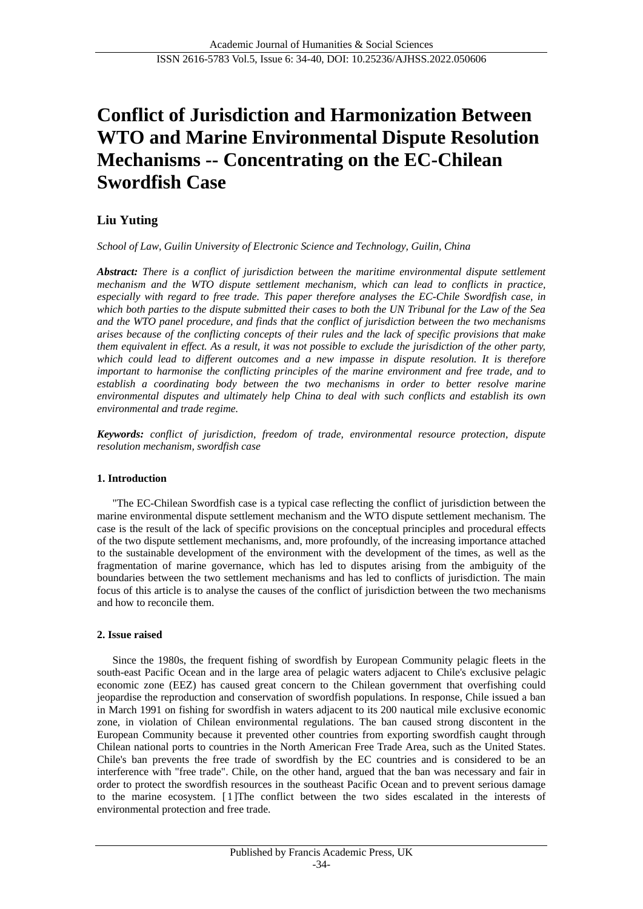# **Conflict of Jurisdiction and Harmonization Between WTO and Marine Environmental Dispute Resolution Mechanisms -- Concentrating on the EC-Chilean Swordfish Case**

# **Liu Yuting**

*School of Law, Guilin University of Electronic Science and Technology, Guilin, China*

*Abstract: There is a conflict of jurisdiction between the maritime environmental dispute settlement mechanism and the WTO dispute settlement mechanism, which can lead to conflicts in practice, especially with regard to free trade. This paper therefore analyses the EC-Chile Swordfish case, in which both parties to the dispute submitted their cases to both the UN Tribunal for the Law of the Sea and the WTO panel procedure, and finds that the conflict of jurisdiction between the two mechanisms arises because of the conflicting concepts of their rules and the lack of specific provisions that make them equivalent in effect. As a result, it was not possible to exclude the jurisdiction of the other party, which could lead to different outcomes and a new impasse in dispute resolution. It is therefore important to harmonise the conflicting principles of the marine environment and free trade, and to establish a coordinating body between the two mechanisms in order to better resolve marine environmental disputes and ultimately help China to deal with such conflicts and establish its own environmental and trade regime.*

*Keywords: conflict of jurisdiction, freedom of trade, environmental resource protection, dispute resolution mechanism, swordfish case*

#### **1. Introduction**

"The EC-Chilean Swordfish case is a typical case reflecting the conflict of jurisdiction between the marine environmental dispute settlement mechanism and the WTO dispute settlement mechanism. The case is the result of the lack of specific provisions on the conceptual principles and procedural effects of the two dispute settlement mechanisms, and, more profoundly, of the increasing importance attached to the sustainable development of the environment with the development of the times, as well as the fragmentation of marine governance, which has led to disputes arising from the ambiguity of the boundaries between the two settlement mechanisms and has led to conflicts of jurisdiction. The main focus of this article is to analyse the causes of the conflict of jurisdiction between the two mechanisms and how to reconcile them.

# **2. Issue raised**

Since the 1980s, the frequent fishing of swordfish by European Community pelagic fleets in the south-east Pacific Ocean and in the large area of pelagic waters adjacent to Chile's exclusive pelagic economic zone (EEZ) has caused great concern to the Chilean government that overfishing could jeopardise the reproduction and conservation of swordfish populations. In response, Chile issued a ban in March 1991 on fishing for swordfish in waters adjacent to its 200 nautical mile exclusive economic zone, in violation of Chilean environmental regulations. The ban caused strong discontent in the European Community because it prevented other countries from exporting swordfish caught through Chilean national ports to countries in the North American Free Trade Area, such as the United States. Chile's ban prevents the free trade of swordfish by the EC countries and is considered to be an interference with "free trade". Chile, on the other hand, argued that the ban was necessary and fair in order to protect the swordfish resources in the southeast Pacific Ocean and to prevent serious damage to the marine ecosystem. [1]The conflict between the two sides escalated in the interests of environmental protection and free trade.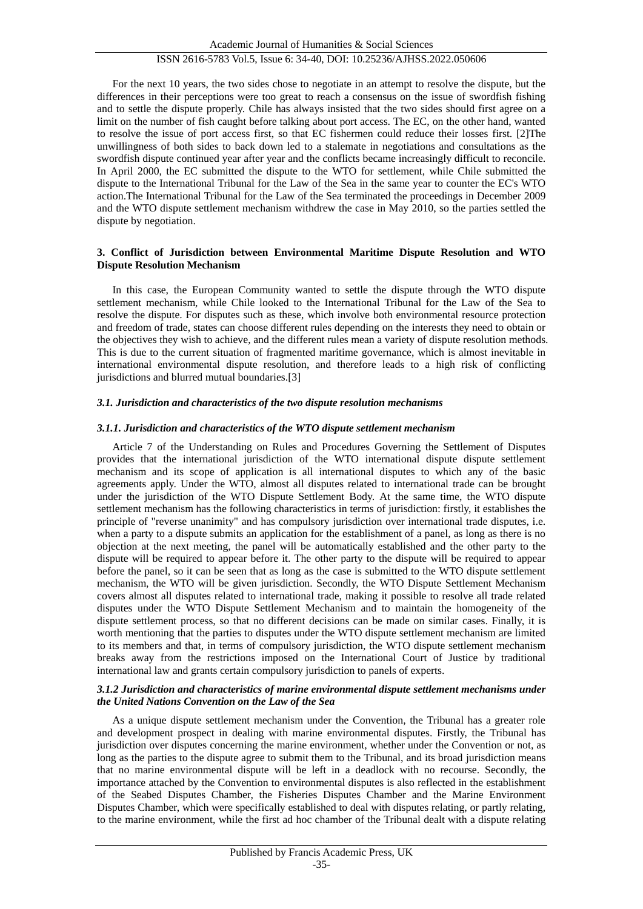For the next 10 years, the two sides chose to negotiate in an attempt to resolve the dispute, but the differences in their perceptions were too great to reach a consensus on the issue of swordfish fishing and to settle the dispute properly. Chile has always insisted that the two sides should first agree on a limit on the number of fish caught before talking about port access. The EC, on the other hand, wanted to resolve the issue of port access first, so that EC fishermen could reduce their losses first. [2]The unwillingness of both sides to back down led to a stalemate in negotiations and consultations as the swordfish dispute continued year after year and the conflicts became increasingly difficult to reconcile. In April 2000, the EC submitted the dispute to the WTO for settlement, while Chile submitted the dispute to the International Tribunal for the Law of the Sea in the same year to counter the EC's WTO action.The International Tribunal for the Law of the Sea terminated the proceedings in December 2009 and the WTO dispute settlement mechanism withdrew the case in May 2010, so the parties settled the dispute by negotiation.

#### **3. Conflict of Jurisdiction between Environmental Maritime Dispute Resolution and WTO Dispute Resolution Mechanism**

In this case, the European Community wanted to settle the dispute through the WTO dispute settlement mechanism, while Chile looked to the International Tribunal for the Law of the Sea to resolve the dispute. For disputes such as these, which involve both environmental resource protection and freedom of trade, states can choose different rules depending on the interests they need to obtain or the objectives they wish to achieve, and the different rules mean a variety of dispute resolution methods. This is due to the current situation of fragmented maritime governance, which is almost inevitable in international environmental dispute resolution, and therefore leads to a high risk of conflicting jurisdictions and blurred mutual boundaries.[3]

## *3.1. Jurisdiction and characteristics of the two dispute resolution mechanisms*

## *3.1.1. Jurisdiction and characteristics of the WTO dispute settlement mechanism*

Article 7 of the Understanding on Rules and Procedures Governing the Settlement of Disputes provides that the international jurisdiction of the WTO international dispute dispute settlement mechanism and its scope of application is all international disputes to which any of the basic agreements apply. Under the WTO, almost all disputes related to international trade can be brought under the jurisdiction of the WTO Dispute Settlement Body. At the same time, the WTO dispute settlement mechanism has the following characteristics in terms of jurisdiction: firstly, it establishes the principle of "reverse unanimity" and has compulsory jurisdiction over international trade disputes, i.e. when a party to a dispute submits an application for the establishment of a panel, as long as there is no objection at the next meeting, the panel will be automatically established and the other party to the dispute will be required to appear before it. The other party to the dispute will be required to appear before the panel, so it can be seen that as long as the case is submitted to the WTO dispute settlement mechanism, the WTO will be given jurisdiction. Secondly, the WTO Dispute Settlement Mechanism covers almost all disputes related to international trade, making it possible to resolve all trade related disputes under the WTO Dispute Settlement Mechanism and to maintain the homogeneity of the dispute settlement process, so that no different decisions can be made on similar cases. Finally, it is worth mentioning that the parties to disputes under the WTO dispute settlement mechanism are limited to its members and that, in terms of compulsory jurisdiction, the WTO dispute settlement mechanism breaks away from the restrictions imposed on the International Court of Justice by traditional international law and grants certain compulsory jurisdiction to panels of experts.

#### *3.1.2 Jurisdiction and characteristics of marine environmental dispute settlement mechanisms under the United Nations Convention on the Law of the Sea*

As a unique dispute settlement mechanism under the Convention, the Tribunal has a greater role and development prospect in dealing with marine environmental disputes. Firstly, the Tribunal has jurisdiction over disputes concerning the marine environment, whether under the Convention or not, as long as the parties to the dispute agree to submit them to the Tribunal, and its broad jurisdiction means that no marine environmental dispute will be left in a deadlock with no recourse. Secondly, the importance attached by the Convention to environmental disputes is also reflected in the establishment of the Seabed Disputes Chamber, the Fisheries Disputes Chamber and the Marine Environment Disputes Chamber, which were specifically established to deal with disputes relating, or partly relating, to the marine environment, while the first ad hoc chamber of the Tribunal dealt with a dispute relating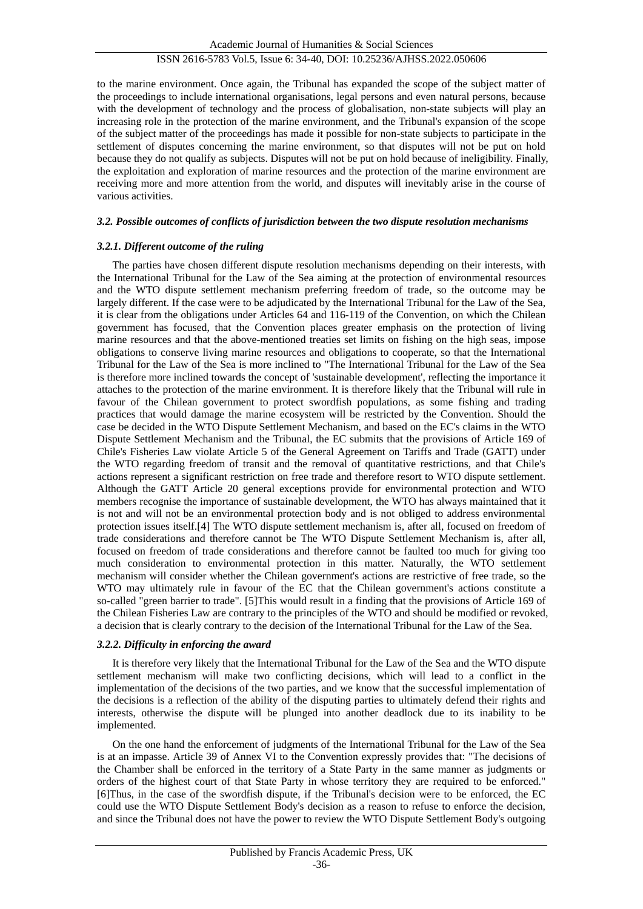# ISSN 2616-5783 Vol.5, Issue 6: 34-40, DOI: 10.25236/AJHSS.2022.050606

to the marine environment. Once again, the Tribunal has expanded the scope of the subject matter of the proceedings to include international organisations, legal persons and even natural persons, because with the development of technology and the process of globalisation, non-state subjects will play an increasing role in the protection of the marine environment, and the Tribunal's expansion of the scope of the subject matter of the proceedings has made it possible for non-state subjects to participate in the settlement of disputes concerning the marine environment, so that disputes will not be put on hold because they do not qualify as subjects. Disputes will not be put on hold because of ineligibility. Finally, the exploitation and exploration of marine resources and the protection of the marine environment are receiving more and more attention from the world, and disputes will inevitably arise in the course of various activities.

#### *3.2. Possible outcomes of conflicts of jurisdiction between the two dispute resolution mechanisms*

#### *3.2.1. Different outcome of the ruling*

The parties have chosen different dispute resolution mechanisms depending on their interests, with the International Tribunal for the Law of the Sea aiming at the protection of environmental resources and the WTO dispute settlement mechanism preferring freedom of trade, so the outcome may be largely different. If the case were to be adjudicated by the International Tribunal for the Law of the Sea, it is clear from the obligations under Articles 64 and 116-119 of the Convention, on which the Chilean government has focused, that the Convention places greater emphasis on the protection of living marine resources and that the above-mentioned treaties set limits on fishing on the high seas, impose obligations to conserve living marine resources and obligations to cooperate, so that the International Tribunal for the Law of the Sea is more inclined to "The International Tribunal for the Law of the Sea is therefore more inclined towards the concept of 'sustainable development', reflecting the importance it attaches to the protection of the marine environment. It is therefore likely that the Tribunal will rule in favour of the Chilean government to protect swordfish populations, as some fishing and trading practices that would damage the marine ecosystem will be restricted by the Convention. Should the case be decided in the WTO Dispute Settlement Mechanism, and based on the EC's claims in the WTO Dispute Settlement Mechanism and the Tribunal, the EC submits that the provisions of Article 169 of Chile's Fisheries Law violate Article 5 of the General Agreement on Tariffs and Trade (GATT) under the WTO regarding freedom of transit and the removal of quantitative restrictions, and that Chile's actions represent a significant restriction on free trade and therefore resort to WTO dispute settlement. Although the GATT Article 20 general exceptions provide for environmental protection and WTO members recognise the importance of sustainable development, the WTO has always maintained that it is not and will not be an environmental protection body and is not obliged to address environmental protection issues itself.[4] The WTO dispute settlement mechanism is, after all, focused on freedom of trade considerations and therefore cannot be The WTO Dispute Settlement Mechanism is, after all, focused on freedom of trade considerations and therefore cannot be faulted too much for giving too much consideration to environmental protection in this matter. Naturally, the WTO settlement mechanism will consider whether the Chilean government's actions are restrictive of free trade, so the WTO may ultimately rule in favour of the EC that the Chilean government's actions constitute a so-called "green barrier to trade". [5]This would result in a finding that the provisions of Article 169 of the Chilean Fisheries Law are contrary to the principles of the WTO and should be modified or revoked, a decision that is clearly contrary to the decision of the International Tribunal for the Law of the Sea.

## *3.2.2. Difficulty in enforcing the award*

It is therefore very likely that the International Tribunal for the Law of the Sea and the WTO dispute settlement mechanism will make two conflicting decisions, which will lead to a conflict in the implementation of the decisions of the two parties, and we know that the successful implementation of the decisions is a reflection of the ability of the disputing parties to ultimately defend their rights and interests, otherwise the dispute will be plunged into another deadlock due to its inability to be implemented.

On the one hand the enforcement of judgments of the International Tribunal for the Law of the Sea is at an impasse. Article 39 of Annex VI to the Convention expressly provides that: "The decisions of the Chamber shall be enforced in the territory of a State Party in the same manner as judgments or orders of the highest court of that State Party in whose territory they are required to be enforced." [6]Thus, in the case of the swordfish dispute, if the Tribunal's decision were to be enforced, the EC could use the WTO Dispute Settlement Body's decision as a reason to refuse to enforce the decision, and since the Tribunal does not have the power to review the WTO Dispute Settlement Body's outgoing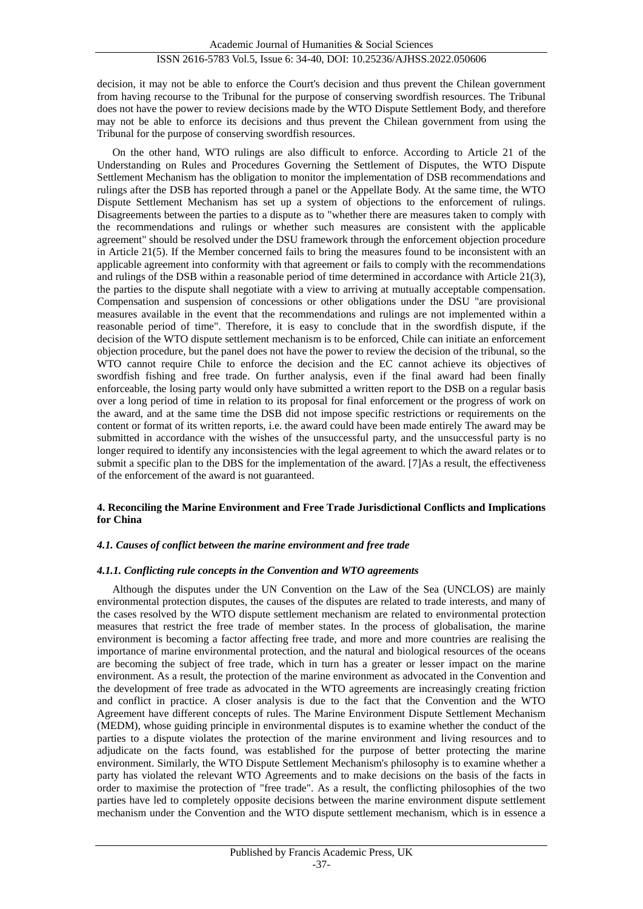decision, it may not be able to enforce the Court's decision and thus prevent the Chilean government from having recourse to the Tribunal for the purpose of conserving swordfish resources. The Tribunal does not have the power to review decisions made by the WTO Dispute Settlement Body, and therefore may not be able to enforce its decisions and thus prevent the Chilean government from using the Tribunal for the purpose of conserving swordfish resources.

On the other hand, WTO rulings are also difficult to enforce. According to Article 21 of the Understanding on Rules and Procedures Governing the Settlement of Disputes, the WTO Dispute Settlement Mechanism has the obligation to monitor the implementation of DSB recommendations and rulings after the DSB has reported through a panel or the Appellate Body. At the same time, the WTO Dispute Settlement Mechanism has set up a system of objections to the enforcement of rulings. Disagreements between the parties to a dispute as to "whether there are measures taken to comply with the recommendations and rulings or whether such measures are consistent with the applicable agreement" should be resolved under the DSU framework through the enforcement objection procedure in Article 21(5). If the Member concerned fails to bring the measures found to be inconsistent with an applicable agreement into conformity with that agreement or fails to comply with the recommendations and rulings of the DSB within a reasonable period of time determined in accordance with Article 21(3), the parties to the dispute shall negotiate with a view to arriving at mutually acceptable compensation. Compensation and suspension of concessions or other obligations under the DSU "are provisional measures available in the event that the recommendations and rulings are not implemented within a reasonable period of time". Therefore, it is easy to conclude that in the swordfish dispute, if the decision of the WTO dispute settlement mechanism is to be enforced, Chile can initiate an enforcement objection procedure, but the panel does not have the power to review the decision of the tribunal, so the WTO cannot require Chile to enforce the decision and the EC cannot achieve its objectives of swordfish fishing and free trade. On further analysis, even if the final award had been finally enforceable, the losing party would only have submitted a written report to the DSB on a regular basis over a long period of time in relation to its proposal for final enforcement or the progress of work on the award, and at the same time the DSB did not impose specific restrictions or requirements on the content or format of its written reports, i.e. the award could have been made entirely The award may be submitted in accordance with the wishes of the unsuccessful party, and the unsuccessful party is no longer required to identify any inconsistencies with the legal agreement to which the award relates or to submit a specific plan to the DBS for the implementation of the award. [7]As a result, the effectiveness of the enforcement of the award is not guaranteed.

# **4. Reconciling the Marine Environment and Free Trade Jurisdictional Conflicts and Implications for China**

# *4.1. Causes of conflict between the marine environment and free trade*

#### *4.1.1. Conflicting rule concepts in the Convention and WTO agreements*

Although the disputes under the UN Convention on the Law of the Sea (UNCLOS) are mainly environmental protection disputes, the causes of the disputes are related to trade interests, and many of the cases resolved by the WTO dispute settlement mechanism are related to environmental protection measures that restrict the free trade of member states. In the process of globalisation, the marine environment is becoming a factor affecting free trade, and more and more countries are realising the importance of marine environmental protection, and the natural and biological resources of the oceans are becoming the subject of free trade, which in turn has a greater or lesser impact on the marine environment. As a result, the protection of the marine environment as advocated in the Convention and the development of free trade as advocated in the WTO agreements are increasingly creating friction and conflict in practice. A closer analysis is due to the fact that the Convention and the WTO Agreement have different concepts of rules. The Marine Environment Dispute Settlement Mechanism (MEDM), whose guiding principle in environmental disputes is to examine whether the conduct of the parties to a dispute violates the protection of the marine environment and living resources and to adjudicate on the facts found, was established for the purpose of better protecting the marine environment. Similarly, the WTO Dispute Settlement Mechanism's philosophy is to examine whether a party has violated the relevant WTO Agreements and to make decisions on the basis of the facts in order to maximise the protection of "free trade". As a result, the conflicting philosophies of the two parties have led to completely opposite decisions between the marine environment dispute settlement mechanism under the Convention and the WTO dispute settlement mechanism, which is in essence a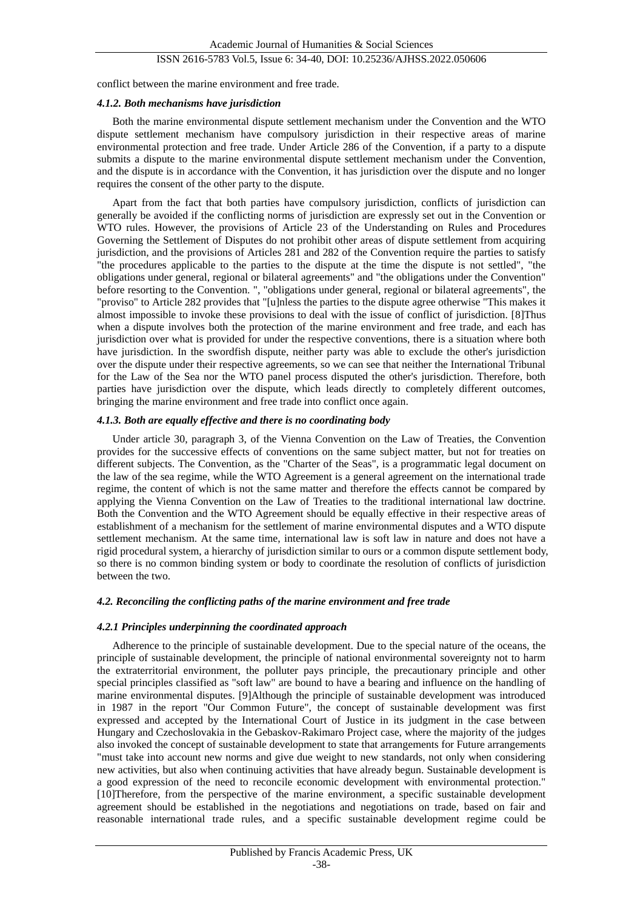# ISSN 2616-5783 Vol.5, Issue 6: 34-40, DOI: 10.25236/AJHSS.2022.050606

conflict between the marine environment and free trade.

#### *4.1.2. Both mechanisms have jurisdiction*

Both the marine environmental dispute settlement mechanism under the Convention and the WTO dispute settlement mechanism have compulsory jurisdiction in their respective areas of marine environmental protection and free trade. Under Article 286 of the Convention, if a party to a dispute submits a dispute to the marine environmental dispute settlement mechanism under the Convention, and the dispute is in accordance with the Convention, it has jurisdiction over the dispute and no longer requires the consent of the other party to the dispute.

Apart from the fact that both parties have compulsory jurisdiction, conflicts of jurisdiction can generally be avoided if the conflicting norms of jurisdiction are expressly set out in the Convention or WTO rules. However, the provisions of Article 23 of the Understanding on Rules and Procedures Governing the Settlement of Disputes do not prohibit other areas of dispute settlement from acquiring jurisdiction, and the provisions of Articles 281 and 282 of the Convention require the parties to satisfy "the procedures applicable to the parties to the dispute at the time the dispute is not settled", "the obligations under general, regional or bilateral agreements" and "the obligations under the Convention" before resorting to the Convention. ", "obligations under general, regional or bilateral agreements", the "proviso" to Article 282 provides that "[u]nless the parties to the dispute agree otherwise "This makes it almost impossible to invoke these provisions to deal with the issue of conflict of jurisdiction. [8]Thus when a dispute involves both the protection of the marine environment and free trade, and each has jurisdiction over what is provided for under the respective conventions, there is a situation where both have jurisdiction. In the swordfish dispute, neither party was able to exclude the other's jurisdiction over the dispute under their respective agreements, so we can see that neither the International Tribunal for the Law of the Sea nor the WTO panel process disputed the other's jurisdiction. Therefore, both parties have jurisdiction over the dispute, which leads directly to completely different outcomes, bringing the marine environment and free trade into conflict once again.

#### *4.1.3. Both are equally effective and there is no coordinating body*

Under article 30, paragraph 3, of the Vienna Convention on the Law of Treaties, the Convention provides for the successive effects of conventions on the same subject matter, but not for treaties on different subjects. The Convention, as the "Charter of the Seas", is a programmatic legal document on the law of the sea regime, while the WTO Agreement is a general agreement on the international trade regime, the content of which is not the same matter and therefore the effects cannot be compared by applying the Vienna Convention on the Law of Treaties to the traditional international law doctrine. Both the Convention and the WTO Agreement should be equally effective in their respective areas of establishment of a mechanism for the settlement of marine environmental disputes and a WTO dispute settlement mechanism. At the same time, international law is soft law in nature and does not have a rigid procedural system, a hierarchy of jurisdiction similar to ours or a common dispute settlement body, so there is no common binding system or body to coordinate the resolution of conflicts of jurisdiction between the two.

#### *4.2. Reconciling the conflicting paths of the marine environment and free trade*

#### *4.2.1 Principles underpinning the coordinated approach*

Adherence to the principle of sustainable development. Due to the special nature of the oceans, the principle of sustainable development, the principle of national environmental sovereignty not to harm the extraterritorial environment, the polluter pays principle, the precautionary principle and other special principles classified as "soft law" are bound to have a bearing and influence on the handling of marine environmental disputes. [9]Although the principle of sustainable development was introduced in 1987 in the report "Our Common Future", the concept of sustainable development was first expressed and accepted by the International Court of Justice in its judgment in the case between Hungary and Czechoslovakia in the Gebaskov-Rakimaro Project case, where the majority of the judges also invoked the concept of sustainable development to state that arrangements for Future arrangements "must take into account new norms and give due weight to new standards, not only when considering new activities, but also when continuing activities that have already begun. Sustainable development is a good expression of the need to reconcile economic development with environmental protection." [10]Therefore, from the perspective of the marine environment, a specific sustainable development agreement should be established in the negotiations and negotiations on trade, based on fair and reasonable international trade rules, and a specific sustainable development regime could be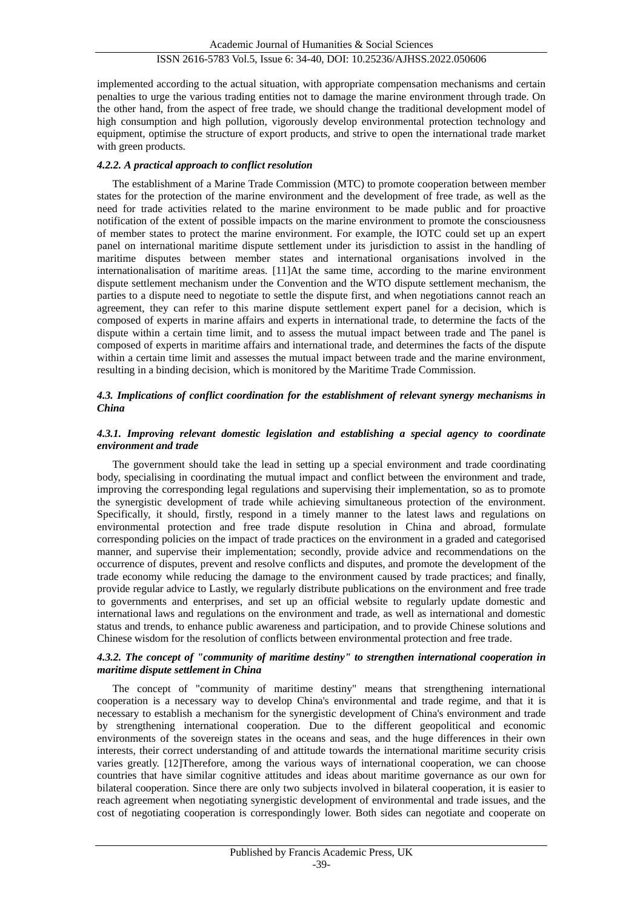implemented according to the actual situation, with appropriate compensation mechanisms and certain penalties to urge the various trading entities not to damage the marine environment through trade. On the other hand, from the aspect of free trade, we should change the traditional development model of high consumption and high pollution, vigorously develop environmental protection technology and equipment, optimise the structure of export products, and strive to open the international trade market with green products.

# *4.2.2. A practical approach to conflict resolution*

The establishment of a Marine Trade Commission (MTC) to promote cooperation between member states for the protection of the marine environment and the development of free trade, as well as the need for trade activities related to the marine environment to be made public and for proactive notification of the extent of possible impacts on the marine environment to promote the consciousness of member states to protect the marine environment. For example, the IOTC could set up an expert panel on international maritime dispute settlement under its jurisdiction to assist in the handling of maritime disputes between member states and international organisations involved in the internationalisation of maritime areas. [11]At the same time, according to the marine environment dispute settlement mechanism under the Convention and the WTO dispute settlement mechanism, the parties to a dispute need to negotiate to settle the dispute first, and when negotiations cannot reach an agreement, they can refer to this marine dispute settlement expert panel for a decision, which is composed of experts in marine affairs and experts in international trade, to determine the facts of the dispute within a certain time limit, and to assess the mutual impact between trade and The panel is composed of experts in maritime affairs and international trade, and determines the facts of the dispute within a certain time limit and assesses the mutual impact between trade and the marine environment, resulting in a binding decision, which is monitored by the Maritime Trade Commission.

# *4.3. Implications of conflict coordination for the establishment of relevant synergy mechanisms in China*

#### *4.3.1. Improving relevant domestic legislation and establishing a special agency to coordinate environment and trade*

The government should take the lead in setting up a special environment and trade coordinating body, specialising in coordinating the mutual impact and conflict between the environment and trade, improving the corresponding legal regulations and supervising their implementation, so as to promote the synergistic development of trade while achieving simultaneous protection of the environment. Specifically, it should, firstly, respond in a timely manner to the latest laws and regulations on environmental protection and free trade dispute resolution in China and abroad, formulate corresponding policies on the impact of trade practices on the environment in a graded and categorised manner, and supervise their implementation; secondly, provide advice and recommendations on the occurrence of disputes, prevent and resolve conflicts and disputes, and promote the development of the trade economy while reducing the damage to the environment caused by trade practices; and finally, provide regular advice to Lastly, we regularly distribute publications on the environment and free trade to governments and enterprises, and set up an official website to regularly update domestic and international laws and regulations on the environment and trade, as well as international and domestic status and trends, to enhance public awareness and participation, and to provide Chinese solutions and Chinese wisdom for the resolution of conflicts between environmental protection and free trade.

#### *4.3.2. The concept of "community of maritime destiny" to strengthen international cooperation in maritime dispute settlement in China*

The concept of "community of maritime destiny" means that strengthening international cooperation is a necessary way to develop China's environmental and trade regime, and that it is necessary to establish a mechanism for the synergistic development of China's environment and trade by strengthening international cooperation. Due to the different geopolitical and economic environments of the sovereign states in the oceans and seas, and the huge differences in their own interests, their correct understanding of and attitude towards the international maritime security crisis varies greatly. [12]Therefore, among the various ways of international cooperation, we can choose countries that have similar cognitive attitudes and ideas about maritime governance as our own for bilateral cooperation. Since there are only two subjects involved in bilateral cooperation, it is easier to reach agreement when negotiating synergistic development of environmental and trade issues, and the cost of negotiating cooperation is correspondingly lower. Both sides can negotiate and cooperate on